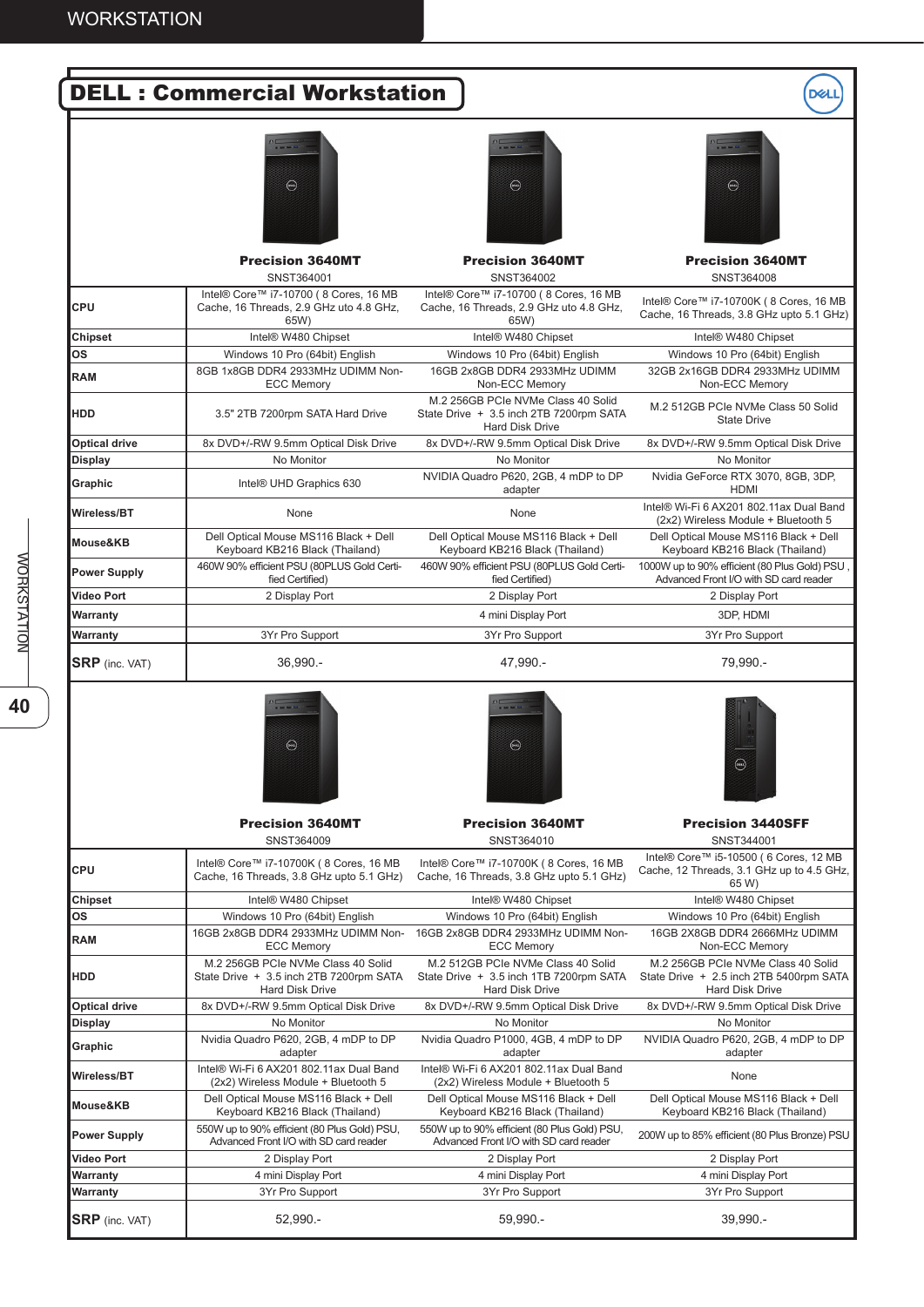

40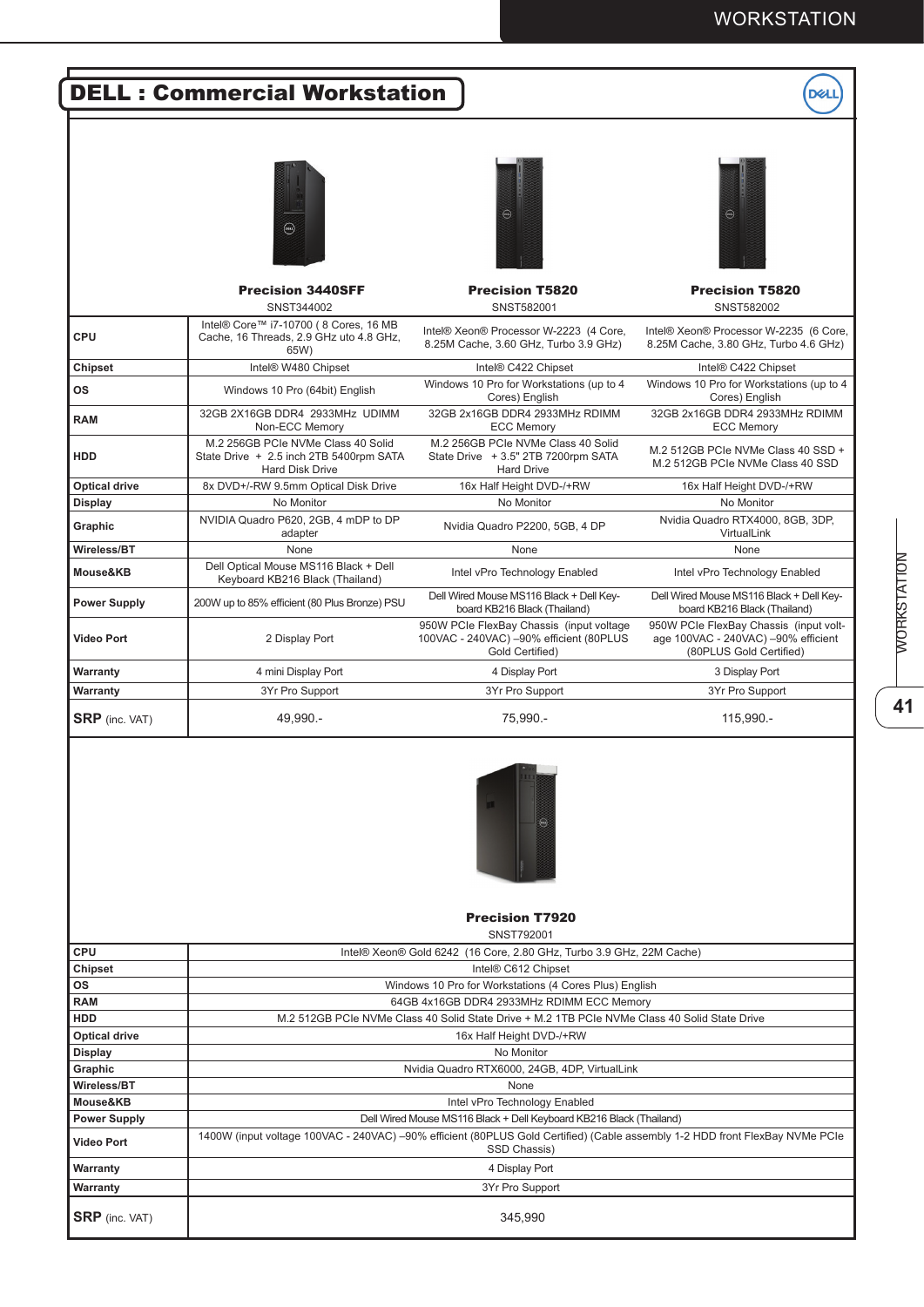### WORKSTATION

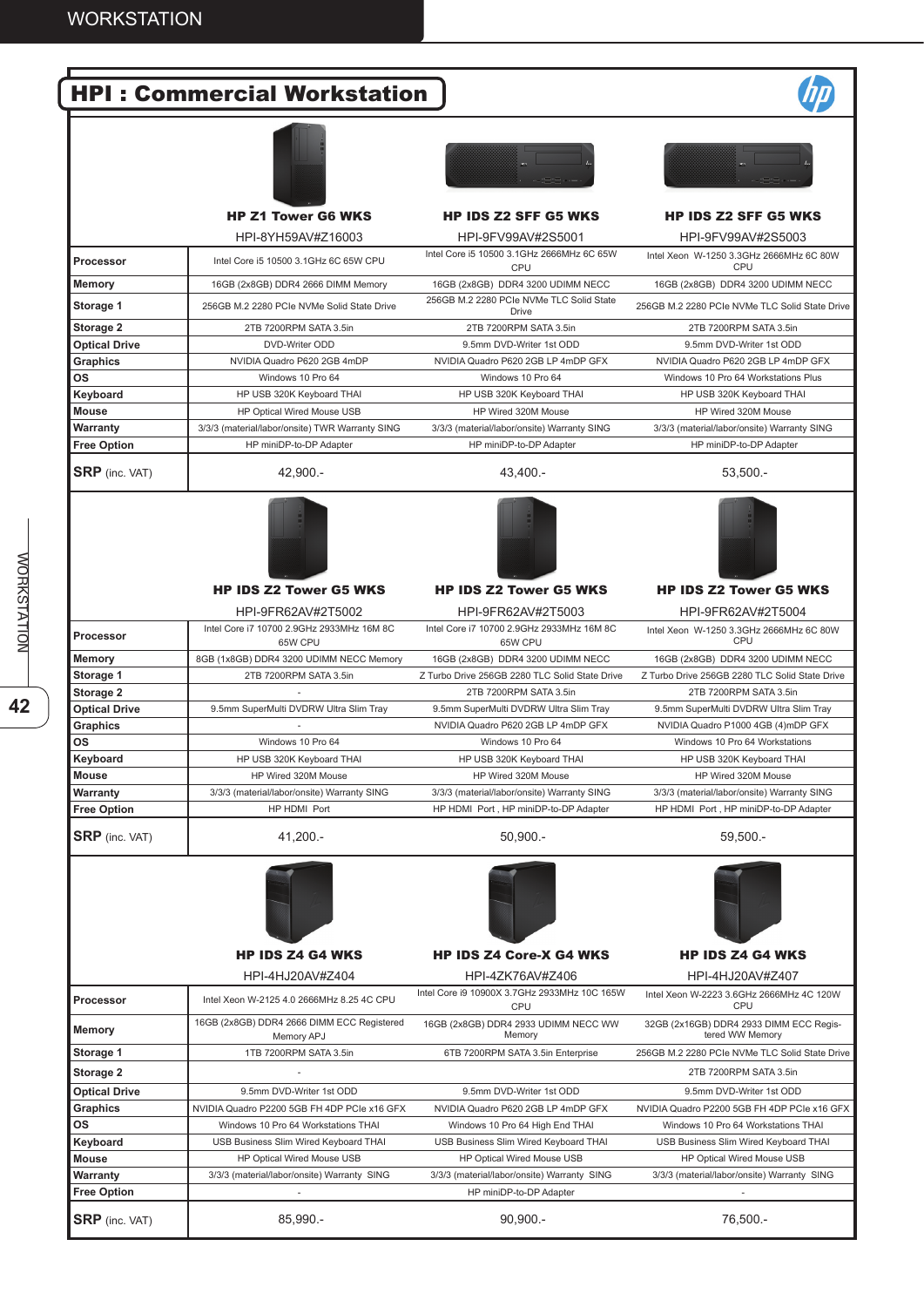# HPI : Commercial Workstation







# HPI-8YH59AV#Z16003 HPI-9FV99AV#2S5001 HPI-9FV99AV#2S5003

| <b>Processor</b>      | Intel Core i5 10500 3.1GHz 6C 65W CPU           | Intel Core i5 10500 3.1GHz 2666MHz 6C 65W<br><b>CPU</b> | Intel Xeon W-1250 3.3GHz 2666MHz 6C 80W<br>CPU |
|-----------------------|-------------------------------------------------|---------------------------------------------------------|------------------------------------------------|
| Memory                | 16GB (2x8GB) DDR4 2666 DIMM Memory              | 16GB (2x8GB) DDR4 3200 UDIMM NECC                       | 16GB (2x8GB) DDR4 3200 UDIMM NECC              |
| Storage 1             | 256GB M.2 2280 PCIe NVMe Solid State Drive      | 256GB M.2 2280 PCIe NVMe TLC Solid State<br>Drive       | 256GB M.2 2280 PCIe NVMe TLC Solid State Drive |
| Storage 2             | 2TB 7200RPM SATA 3.5in                          | 2TB 7200RPM SATA 3.5in                                  | 2TB 7200RPM SATA 3.5in                         |
| <b>Optical Drive</b>  | DVD-Writer ODD                                  | 9.5mm DVD-Writer 1st ODD                                | 9.5mm DVD-Writer 1st ODD                       |
| Graphics              | NVIDIA Quadro P620 2GB 4mDP                     | NVIDIA Quadro P620 2GB LP 4mDP GFX                      | NVIDIA Quadro P620 2GB LP 4mDP GFX             |
| <b>OS</b>             | Windows 10 Pro 64                               | Windows 10 Pro 64                                       | Windows 10 Pro 64 Workstations Plus            |
| Keyboard              | HP USB 320K Keyboard THAI                       | HP USB 320K Keyboard THAI                               | HP USB 320K Keyboard THAI                      |
| Mouse                 | HP Optical Wired Mouse USB                      | HP Wired 320M Mouse                                     | HP Wired 320M Mouse                            |
| Warranty              | 3/3/3 (material/labor/onsite) TWR Warranty SING | 3/3/3 (material/labor/onsite) Warranty SING             | 3/3/3 (material/labor/onsite) Warranty SING    |
| <b>Free Option</b>    | HP miniDP-to-DP Adapter                         | HP miniDP-to-DP Adapter                                 | HP miniDP-to-DP Adapter                        |
| <b>SRP</b> (inc. VAT) | 42.900 .-                                       | 43.400 .-                                               | $53.500 -$                                     |









HP IDS Z2 Tower G5 WKS HP IDS Z2 Tower G5 WKS HP IDS Z2 Tower G5 WKS

|                       | HPI-9FR62AV#2T5002                                   | HPI-9FR62AV#2T5003                                   | HPI-9FR62AV#2T5004                             |
|-----------------------|------------------------------------------------------|------------------------------------------------------|------------------------------------------------|
| <b>Processor</b>      | Intel Core i7 10700 2.9GHz 2933MHz 16M 8C<br>65W CPU | Intel Core i7 10700 2.9GHz 2933MHz 16M 8C<br>65W CPU | Intel Xeon W-1250 3.3GHz 2666MHz 6C 80W<br>CPU |
| <b>Memory</b>         | 8GB (1x8GB) DDR4 3200 UDIMM NECC Memory              | 16GB (2x8GB) DDR4 3200 UDIMM NECC                    | 16GB (2x8GB) DDR4 3200 UDIMM NECC              |
| Storage 1             | 2TB 7200RPM SATA 3.5in                               | Z Turbo Drive 256GB 2280 TLC Solid State Drive       | Z Turbo Drive 256GB 2280 TLC Solid State Drive |
| Storage 2             |                                                      | 2TB 7200RPM SATA 3.5in                               | 2TB 7200RPM SATA 3.5in                         |
| <b>Optical Drive</b>  | 9.5mm SuperMulti DVDRW Ultra Slim Tray               | 9.5mm SuperMulti DVDRW Ultra Slim Tray               | 9.5mm SuperMulti DVDRW Ultra Slim Tray         |
| Graphics              |                                                      | NVIDIA Quadro P620 2GB LP 4mDP GFX                   | NVIDIA Quadro P1000 4GB (4)mDP GFX             |
| <b>OS</b>             | Windows 10 Pro 64                                    | Windows 10 Pro 64                                    | Windows 10 Pro 64 Workstations                 |
| Keyboard              | HP USB 320K Keyboard THAI                            | HP USB 320K Keyboard THAI                            | HP USB 320K Keyboard THAI                      |
| Mouse                 | HP Wired 320M Mouse                                  | HP Wired 320M Mouse                                  | HP Wired 320M Mouse                            |
| Warranty              | 3/3/3 (material/labor/onsite) Warranty SING          | 3/3/3 (material/labor/onsite) Warranty SING          | 3/3/3 (material/labor/onsite) Warranty SING    |
| <b>Free Option</b>    | HP HDMI Port                                         | HP HDMI Port, HP miniDP-to-DP Adapter                | HP HDMI Port, HP miniDP-to-DP Adapter          |
| <b>SRP</b> (inc. VAT) | $41.200 -$                                           | $50.900 -$                                           | $59.500 -$                                     |



**Free Option HP** miniDP-to-DP Adapter

## HP IDS Z4 G4 WKS HP IDS Z4 Core-X G4 WKS HP IDS Z4 G4 WKS

|                      | HPI-4HJ20AV#Z404                                         | HPI-4ZK76AV#Z406                                           | HPI-4HJ20AV#Z407                                           |
|----------------------|----------------------------------------------------------|------------------------------------------------------------|------------------------------------------------------------|
| Processor            | Intel Xeon W-2125 4.0 2666MHz 8.25 4C CPU                | Intel Core i9 10900X 3.7GHz 2933MHz 10C 165W<br><b>CPU</b> | Intel Xeon W-2223 3.6GHz 2666MHz 4C 120W<br>CPU            |
| <b>Memory</b>        | 16GB (2x8GB) DDR4 2666 DIMM ECC Registered<br>Memory APJ | 16GB (2x8GB) DDR4 2933 UDIMM NECC WW<br>Memory             | 32GB (2x16GB) DDR4 2933 DIMM ECC Regis-<br>tered WW Memory |
| Storage 1            | 1TB 7200RPM SATA 3.5in                                   | 6TB 7200RPM SATA 3.5in Enterprise                          | 256GB M.2 2280 PCIe NVMe TLC Solid State Drive             |
| Storage 2            |                                                          |                                                            | 2TB 7200RPM SATA 3.5in                                     |
| <b>Optical Drive</b> | 9.5mm DVD-Writer 1st ODD                                 | 9.5mm DVD-Writer 1st ODD                                   | 9.5mm DVD-Writer 1st ODD                                   |
| <b>Graphics</b>      | NVIDIA Quadro P2200 5GB FH 4DP PCIe x16 GFX              | NVIDIA Quadro P620 2GB LP 4mDP GFX                         | NVIDIA Quadro P2200 5GB FH 4DP PCIe x16 GFX                |
| <b>OS</b>            | Windows 10 Pro 64 Workstations THAI                      | Windows 10 Pro 64 High End THAI                            | Windows 10 Pro 64 Workstations THAI                        |
| Keyboard             | USB Business Slim Wired Keyboard THAI                    | USB Business Slim Wired Keyboard THAI                      | USB Business Slim Wired Keyboard THAI                      |

**Mouse** HP Optical Wired Mouse USB HP Optical Wired Mouse USB HP Optical Wired Mouse USB HP Optical Wired Mouse USB Warranty 3/3/3 (material/labor/onsite) Warranty SING 3/3/3 (material/labor/onsite) Warranty SING 3/3/3 (material/labor/onsite) Warranty SING

**SRP** (inc. VAT) 85,990.- 85,990.- 90,900.- 90,900.- 76,500.-

**WORKSTATION**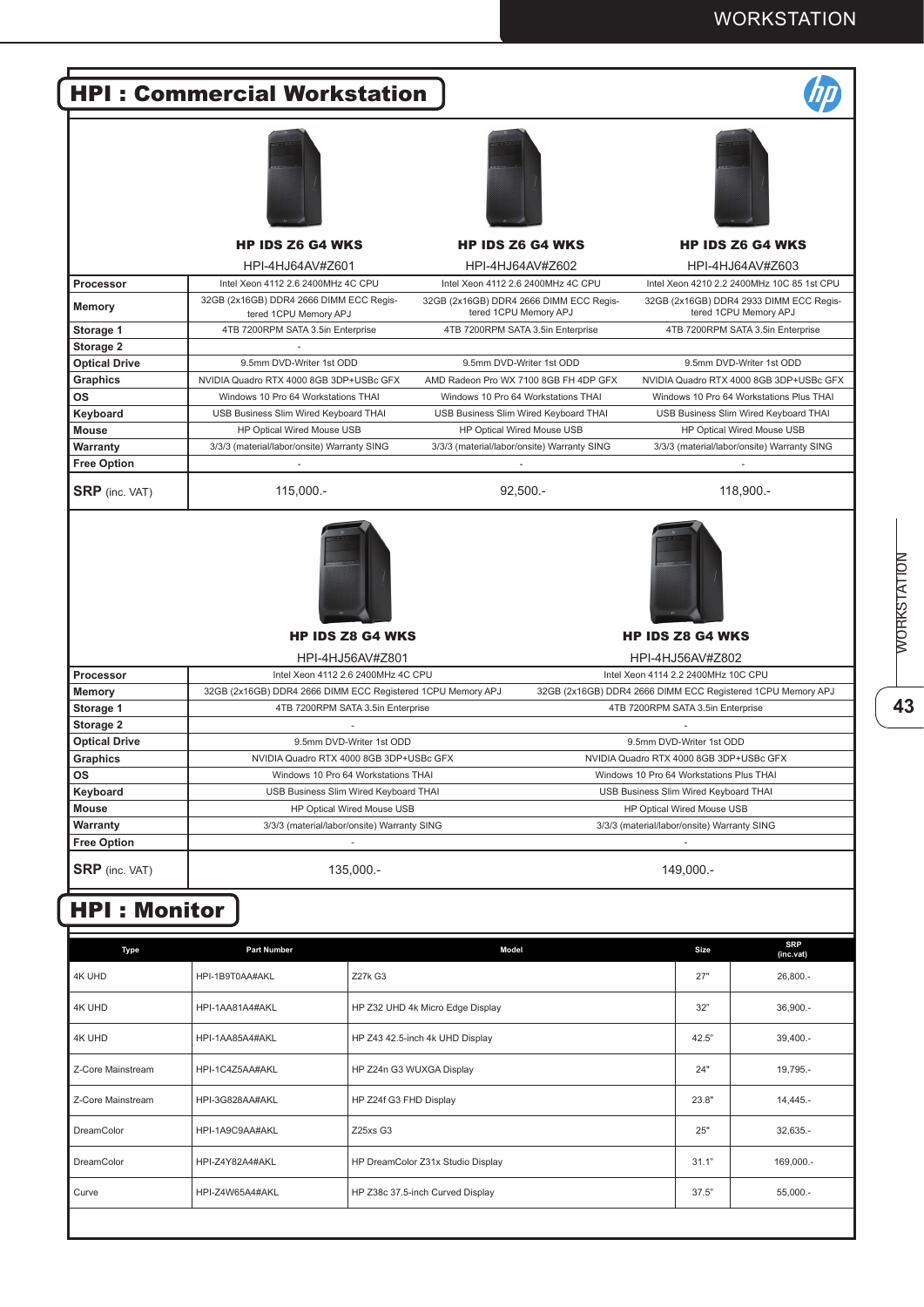